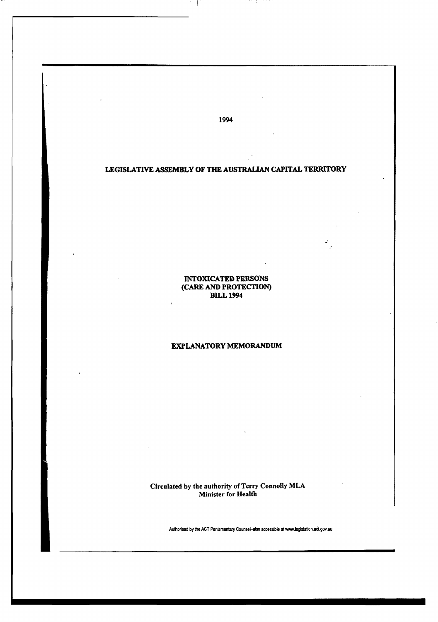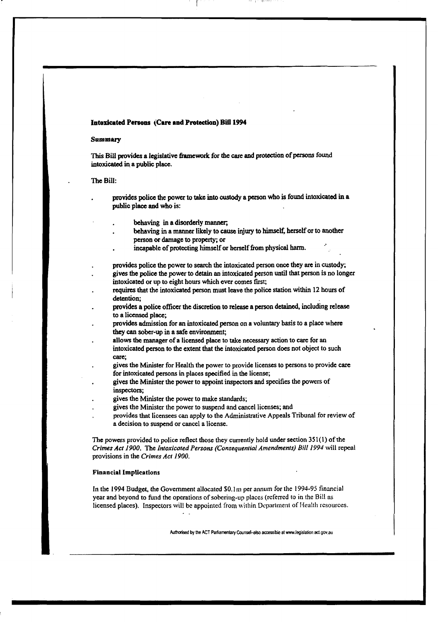### **Intoxicated** Persons **(Care and Protection) Bill 1994**

### **Summary**

This Bill provides a legislative framework for the care and protection of persons found intoxicated in a public place.

#### The Bill:

provides police the power to take into custody a person who is found intoxicated in a public place and who is:

- behaving in **a** disorderly manner;
	- behaving in a manner likely to cause injury to himself, herself or to another person or damage to property; or
	- incapable of protecting himself or herself from physical harm.
- provides police the power to search the intoxicated person once they are in custody;
- gives the police the power to detain an intoxicated person until that person is no longer intoxicated or up to eight hours which ever comes first;
- requires that the intoxicated person must leave the police station within 12 hours of detention;
- provides **a** police officer the discretion to release a person detained, including release to a licensed place;
- provides admission for an intoxicated person on a voluntary basis to a place where they can sober-up in a safe environment;
- allows the manager of a licensed place to take necessary action to care for an intoxicated person to the extent that the intoxicated person does not object to such care;
- gives the Minister for Health the power to provide licenses to persons to provide care for intoxicated persons in places specified in the license;
- gives the Minister the power to appoint inspectors and specifies the powers of inspectors;
- gives the Minister the power to make standards;
- gives the Minister the power to suspend and cancel licenses; and
- provides that licensees can apply to the Administrative Appeals Tribunal for review of a decision to suspend or cancel a license.

The powers provided to police reflect those they currently hold under section 351(1) of the *Crimes Act 1900.* The *Intoxicated Persons (Consequential Amendments) Bill 1994* will repeal provisions in the *Crimes Act 1900.* 

### Financial Implications

In the 1994 Budget, the Government allocated \$0.1 m per annum for the 1994-95 financial year and beyond to fund the operations of sobering-up places (referred to in the Bill as licensed places). Inspectors will be appointed from within Department of Health resources.

Authorised by the ACT Parliamentary Counsel-also accessible at www.legislation.act.gov.au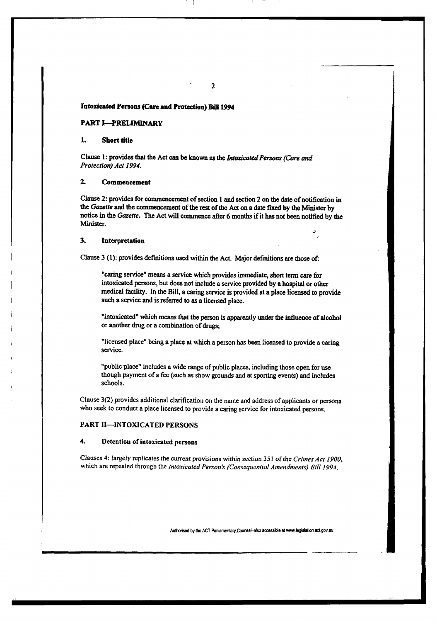### **Intoxicated Persons (Care and Protection) Bill 1994**

# **PART I—PRELIMINARY**

# **1. Short title**

Clause 1: provides that the Act can be known as the *Intoxicated Persons (Care and Protection) Act 1994.* 

# 2. **Commencement**

Clause 2: provides for commencement of section 1 and section 2 on the date of notification in the *Gazette* and die commencement of the rest of the Act on a date fixed by the Minister by notice in the *Gazette.* The Act will commence after 6 months if it has not been notified by the Minister.

### 3. **Interpretation**

Clause 3(1): provides definitions used within the Act. Major definitions are those of:

"caring service" means a service which provides immediate, short term care for intoxicated persons, but does not include a service provided by a hospital or other medical facility. In the Bill, a caring service is provided at a place licensed to provide such a service and is referred to as a licensed place.

 $\cdot$ 

"intoxicated" which means that the person is apparently under the influence of alcohol or another drug or a combination of drugs;

"licensed place" being a place at which a person has been licensed to provide a caring service.

"public place" includes a wide range of public places, including those open for use though payment of a fee (such as show grounds and at sporting events) and includes schools.

Clause 3(2) provides additional clarification on the name and address of applicants or persons who seek to conduct a place licensed to provide a caring service for intoxicated persons.

### PART II—INTOXICATED PERSONS

### 4. Detention of intoxicated persons

Clauses 4: largely replicates the current provisions within section 351 of the *Crimes Act 1900,*  which are repealed through the *Intoxicated Person's (Consequential Amendments) Bill 1994.* 

**Authorised by the ACT Parliamentary .Counsel-also accessible at www legislation act gov au**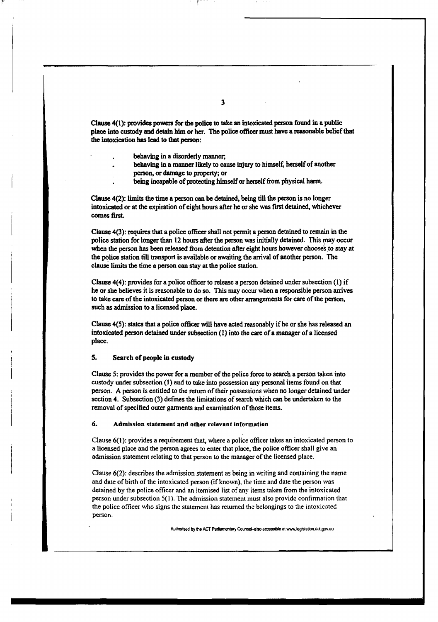**Clause 4(1): provides powers for the police to take an intoxicated person found in a public place into custody and detain him or her. The police officer must have a reasonable belief that the intoxication has lead to that person:** 

- **behaving in a disorderly manner;** 
	- **behaving in a manner likely to cause injury to himself, herself of another person, or damage to property; or**
- **being incapable of protecting himself or herself from physical harm.**

**Clause 4(2): limits the time a person can be detained, being till the person is no longer intoxicated or at the expiration of eight hours after he or she was fust detained, whichever**  comes first.

**Clause 4(3): requires that a police officer shall not permit a person detained to remain in the police station for longer than 12 hours after the person was initially detained. This may occur when the person has been released from detention after eight hours however chooses to stay at the police station till transport is available or awaiting the arrival of another person. The clause limits the time a person can stay at the police station.** 

**Clause 4(4): provides for a police officer to release a person detained under subsection (1) if he or she believes it is reasonable to do so. This may occur when a responsible person arrives to take care of the intoxicated person or there are other arrangements for care of the person, such as admission to a licensed place.** 

**Clause 4(5): states that a police officer will have acted reasonably if he or she has released an intoxicated person detained under subsection (I) into the care of a manager of a licensed place.** 

### **5. Search of people in custody**

**Clause 5: provides the power for a member of the police force to search a person taken into custody under subsection (1) and to take** into possession **any personal items found on that person. A person is entitled to the return of their** possessions **when no longer detained under section 4. Subsection (3) defines the limitations of search which can be undertaken to the removal of specified outer garments and examination of those items.** 

### **6. Admission statement and other relevant information**

Clause 6(1): provides a requirement that, where a police officer takes an intoxicated person to a licensed place and the person agrees to enter that place, the police officer shall give an **admission statement** relating **to that** person to the manager **of** the licensed place.

Clause 6(2): describes the admission statement as being in writing and containing the name and date of birth of the intoxicated person (if known), the time and date the person was detained by the police officer and an itemised list of any items taken from the intoxicated person under subsection 5( 1). The admission statement must also provide confirmation that the police officer who signs the statement has returned the belongings to the intoxicated person.

**Authorised by the ACT Parliamentary Counsel-also accessible at www legislation ad gov.au**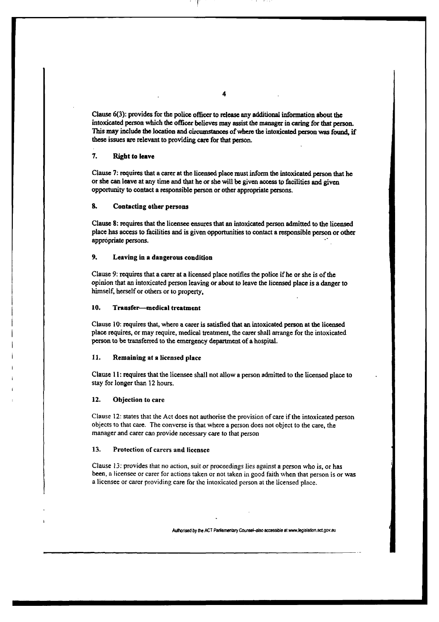**Clause 6(3): provides for the police officer to release any additional information about the intoxicated person which the officer believes may assist the manager in caring for that person. This may include the location and circumstances of where the intoxicated person was found, if these issues are relevant to providing care for that person.** 

# **7. Right to leave**

**Clause 7: requires that a carer at the licensed place must inform the intoxicated person that he or she can leave at any time and that he or she will be given access to facilities and given opportunity to contact a responsible person or other appropriate persons.** 

# **8. Contacting other persons**

**Clause 8: requires that the licensee ensures that an intoxicated person admitted to the licensed place has access to facilities and is given opportunities to contact a responsible person or other appropriate persons.** 

# **9. Leaving in a dangerous condition**

**Clause 9: requires that a carer at a licensed place notifies the police if he or she is of the opinion that an intoxicated person leaving or about to leave the licensed place is a danger to himself, herself or others or to property,** 

### **10. Transfer—medical treatment**

**Clause 10: requires that, where a carer is satisfied that an intoxicated person at the licensed place requires, or may require, medical treatment, the carer shall arrange for the intoxicated person to be transferred to the emergency department of a hospital.** 

### **11. Remaining at a licensed place**

**Clause 11: requires that the licensee shall not allow a person admitted to the licensed place to stay** for **longer** than **12 hours.** 

# **12. Objection to care**

Clause 12: states that the Act does not authorise the provision of care if the intoxicated person objects to that care. The converse is that where a person does not object to the care, the manager and carer can provide necessary care to that person

### 13. **Protection of carers and licensee**

Clause !3: provides that no action, suit or proceedings lies against a person who is, or has been, a licensee or carer for actions taken or not taken in good faith when that person is or was a licensee or carer providing care for the intoxicated person at the licensed place.

**Authorised by the ACT Parliamentary Counsel-also accessible at www.tegislation.actgov.au**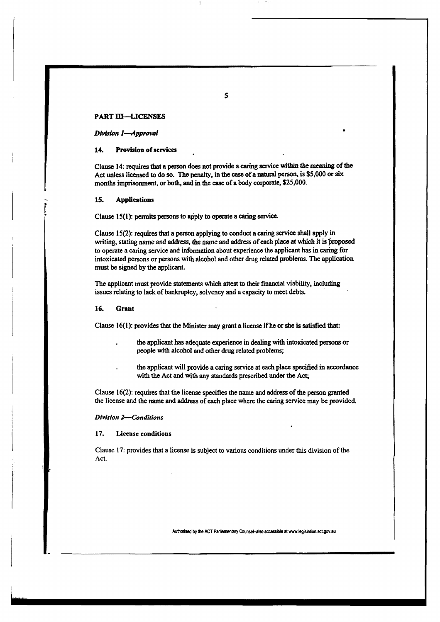### **PART III—LICENSES**

### *Division 1***—***Approval*

# **14. Provision of services**

**Clause 14: requires that a person does not provide a caring service within the meaning of the Act unless licensed to do so. The penalty, in the case of a natural person, is \$5,000 or six months imprisonment, or both, and in the case of a body corporate, \$25,000.** 

### **15. Applications**

**Clause 15(1): permits persons to apply to operate a caring service.** 

**Clause 15(2): requires that a person applying to conduct a caring service shall apply in writing, stating name and address, the name and address of each place at which it is proposed to operate a caring service and information about experience the applicant has in caring for intoxicated persons or persons with alcohol and other drug related problems. The application must be signed by the applicant.** 

**The applicant must provide statements which attest to their financial viability, including issues relating to lack of bankruptcy, solvency and a capacity to meet debts.** 

### **16. Grant**

**Clause 16(1): provides that the Minister may grant a license if he or she is satisfied mat:** 

- **the applicant has adequate experience in dealing with intoxicated persons or people with alcohol and other drug related problems;**
- **the applicant will provide a caring service at each place specified in accordance with the Act and with any standards prescribed under the Act;**

**Clause 16(2): requires that the license specifies the name and address of the person granted the license and the name and address of each place where the caring service may be provided.** 

#### *Division 2***—***Conditions*

#### **17. License conditions**

**Clause 17: provides that a license is subject to various conditions under this division of the Act.** 

**Authorised by the ACT Parliamentary Counsel-also accessible at www.legislation.act.gov.au** 

 $\bullet$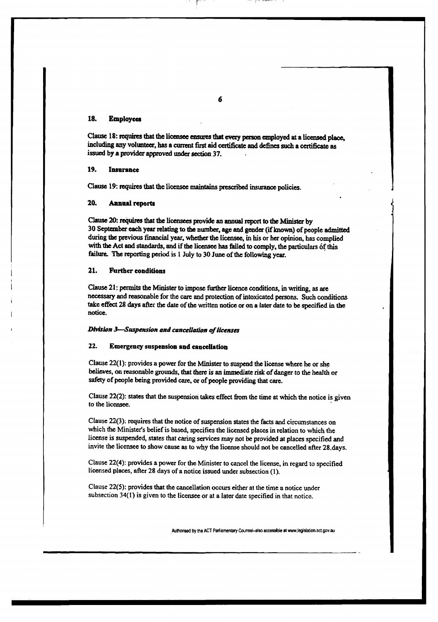#### **18. Employees**

**Clause 18: requires that the licensee ensures that every person employed at a licensed place, including any volunteer, has a current first aid certificate and defines such a certificate as issued by a provider approved under section 37.** 

# **19. Insurance**

**Clause 19: requires that the licensee maintains prescribed insurance policies.** 

# **20. Annual reports**

**Clause 20: requires that the licensees provide an annual report to the Minister by 30 September each year relating to the number, age and gender (if known) of people admitted during the previous financial year, whether the licensee, in his or her opinion, has complied**  with the Act and standards, and if the licensee has failed to comply, the particulars of this **failure. The reporting period is 1 July to 30 June of the following year.** 

# **21. Farther conditions**

**Clause 21: permits the Minister to impose further licence conditions, in writing, as are necessary and reasonable for the care and protection of intoxicated persons. Such conditions take effect 28 days after the date of the written notice or on a later date to be specified in the notice.** 

### *Division 3***—***Suspension and cancellation of licenses*

# **22. Emergency suspension and cancellation**

**Clause 22(1): provides a power for the Minister to suspend the license where he or she believes, on reasonable grounds, that there is an immediate risk of danger to the health or safety of people being provided care, or of people providing that care.** 

Clause 22(2): states that the suspension takes effect from the time at which the notice is given to the licensee.

Clause 22(3): requires that the notice of suspension states the facts and circumstances on which the Minister's belief is based, specifies the licensed places in relation to which the license is suspended, states that caring services may not be provided at places specified and invite the licensee to show cause as to why the license should not be cancelled after 28.days.

Clause 22(4): provides a power for the Minister to cancel the license, in regard to specified licensed places, after 28 days of a notice issued under subsection (1).

Clause 22(5): provides that the cancellation occurs either at the time a notice under subsection 34(1) is given to the licensee or at a later date specified in that notice.

**Authorised by the ACT Parliamentary Counsel-also accessible at www.leglslation.act.gov.au**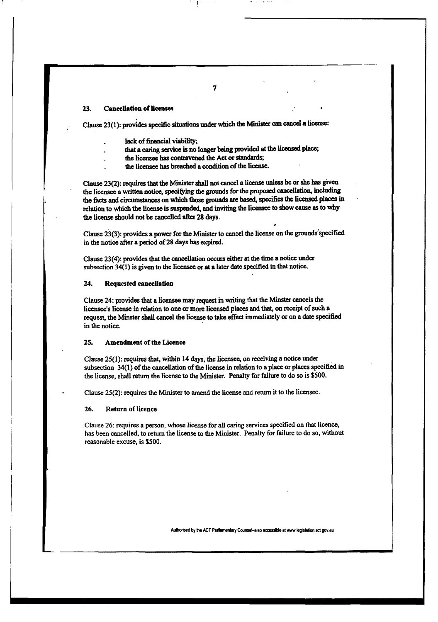# **23. Cancellation of licenses**

**Clause 23(1): provides specific situations under which die Minister can cancel a license:** 

- **lack of financial viability;**
- **that a caring service is no longer being provided at the licensed place;**
- **the licensee has contravened the Act or standards;**
- **the licensee has breached a condition of the license.**

**Clause 23(2): requires that the Minister shall not cancel a license unless he or she has given the licensee a written notice, specifying the grounds for the proposed cancellation, including the facts and circumstances on which those grounds are based, specifies the licensed places in relation to which the license is suspended, and inviting the licensee to show cause as to why the license should not be cancelled after 28 days.** 

**Clause 23(3): provides a power for the Minister to cancel the license on the grounds'specified in the notice after a period of 28 days has expired.** 

**Clause 23(4): provides that the cancellation occurs either at the time a notice under subsection 34(1) is given to the licensee or at a later date specified in that notice.** 

### **24. Requested cancellation**

**Clause 24: provides that a licensee may request in writing that the Minster cancels the licensee's license in relation to one or more licensed places and that, on receipt of such a request, the Minster shall cancel the license to take effect immediately or on a date specified in the notice.** 

### **25. Amendment of the Licence**

**Clause 25(1): requires that, within 14 days, the licensee, on receiving a notice under subsection 34(1) of the cancellation of the license in relation to a place or places specified in the license, shall return the license to the Minister. Penalty for failure to do so is \$500.** 

**Clause 25(2): requires the Minister to amend the license and return it to the licensee.** 

#### **26. Return of licence**

**. Clause 26: requires a person, whose license for all caring services specified on that licence, has been cancelled, to return the license to the Minister. Penalty for failure to do so, without reasonable excuse, is \$500.** 

Authorised by the ACT Parliamentary Counsel-also accessible at www.legislation.act.gov.au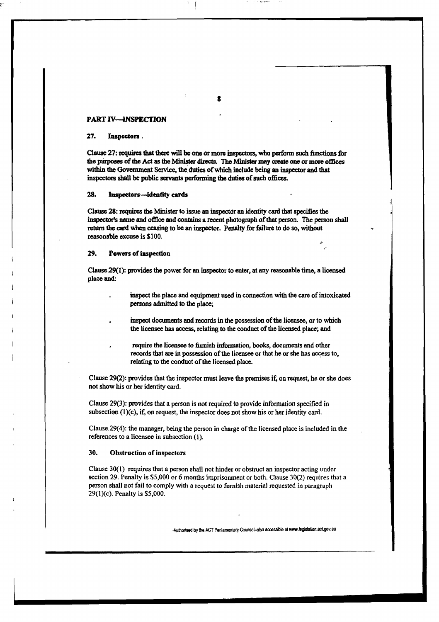### **PART IV—INSPECTION**

### **27. Inspectors.**

**Clause 27: requires that there will be one or more inspectors, who perform such functions for the purposes of the Act as the Minister directs. The Minister may create one or more offices within the Government Service, the duties of which include being an inspector and that inspectors shall be public servants performing the duties of such offices.** 

# **28. Inspectors—identity cards**

**Clause 28: requires the Minister to issue an inspector an identity card that specifies the inspector's name and office and contains a recent photograph of that person. The person shall return the card when ceasing to be an inspector. Penalty for failure to do so, without reasonable excuse is \$100.** 

### **29. Powers of inspection**

**Clause 29(1): provides the power for an inspector to enter, at any reasonable time, a licensed place and:** 

- **inspect the place and equipment used in connection with the care of intoxicated persons admitted to the place;**
- **inspect documents and records in the possession of the licensee, or to which the licensee has access, relating to the conduct of the licensed place; and**
- **require the licensee to furnish information, books, documents and other records that are in possession of the licensee or that he or she has access to, relating to the conduct of the licensed place.**

**Clause 29(2): provides that the inspector must leave the premises if, on request,** he or **she** does **not show** his **or her** identity card.

Clause 29(3): **provides that** a person is not required to provide information specified in subsection (l)(c), if, on request, the inspector does not show his or her identity card.

Clause.29(4): the manager, being the person in charge of the licensed place is included in the references to a licensee in subsection **(1).** 

# **30. Obstruction of inspectors**

Clause 30(1) requires that a person shall not hinder or obstruct an inspector acting under section 29. Penalty is \$5,000 or 6 months imprisonment or both. Clause 30(2) requires that a person **shall** not fail **to** comply with a request to furnish material requested in paragraph 29(l)(c). Penalty is \$5,000.

•Authorised by the ACT Parliamentary Counsel-also accessible at www.legislation.actgov.au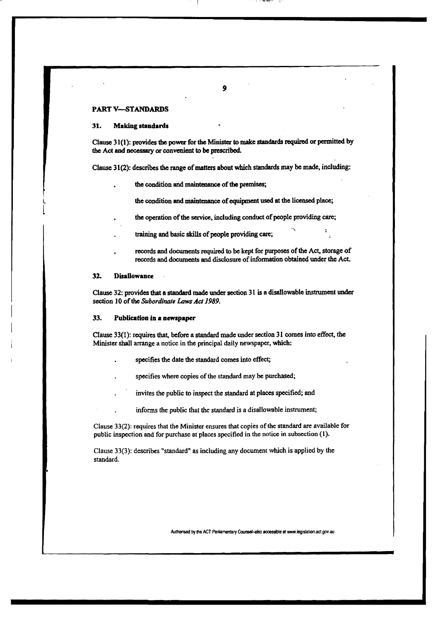## **PART V—STANDARDS**

#### **31. Making standards**

**Clause 31(1): provides the power for the Minister to make standards required or permitted by the Act and necessary or convenient to be prescribed.** 

**Clause 31(2): describes the range of matters about which standards may be made, including:** 

**the condition and maintenance of the premises;** 

the **condition and maintenance of equipment used at the licensed place;** 

- **the operation of the service, including conduct of people providing care;**
- **training and basic skills of people providing care; \*:**
- **records and documents required to be kept for purposes of the Act, storage of records and documents and disclosure of information obtained under the Act.**

### **32. Disallowance**

**Clause 32: provides that a standard made under section 31 is** a **disallowable instrument under section 10 of the** *Subordinate Laws Act 1989.* 

### **33. Publication in a newspaper**

**Clause 3 3(1): requires that, before a standard made under section 31 comes into** effect, **the Minister shall** arrange a notice in the principal daily newspaper, which:

- specifies the date the standard comes into effect;
- specifies where copies of the standard may be purchased;
- invites the public **to** inspect the standard **at places specified;** and
	- informs the public that the standard is a disallowable instrument;

Clause 33(2): requires that the Minister ensures that copies of the standard are available for public inspection and for purchase at places specified in the notice in subsection (1).

Clause 33(3): describes "standard" as including any document which is applied by the standard.

**Authorised by the ACT Parliamentary Counsel-also accessible at www.tegislation.act.gov.au**